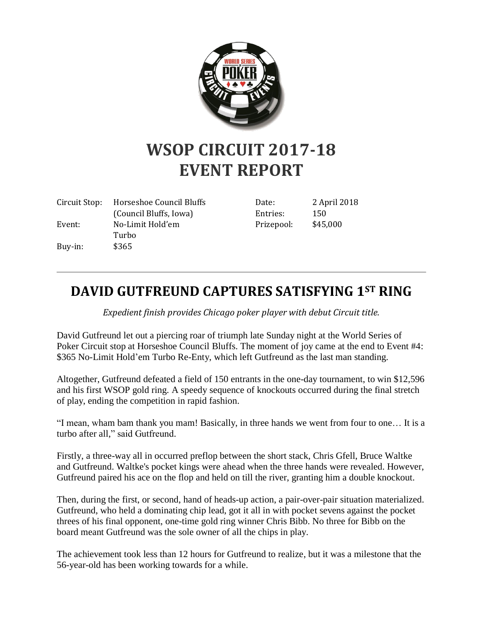

## **WSOP CIRCUIT 2017-18 EVENT REPORT**

|         | Circuit Stop: Horseshoe Council Bluffs | Date:      | 2 April 2018 |
|---------|----------------------------------------|------------|--------------|
|         | (Council Bluffs, Iowa)                 | Entries:   | 150          |
| Event:  | No-Limit Hold'em                       | Prizepool: | \$45,000     |
|         | Turbo                                  |            |              |
| Buy-in: | \$365                                  |            |              |

## **DAVID GUTFREUND CAPTURES SATISFYING 1ST RING**

*Expedient finish provides Chicago poker player with debut Circuit title.*

David Gutfreund let out a piercing roar of triumph late Sunday night at the World Series of Poker Circuit stop at Horseshoe Council Bluffs. The moment of joy came at the end to Event #4: \$365 No-Limit Hold'em Turbo Re-Enty, which left Gutfreund as the last man standing.

Altogether, Gutfreund defeated a field of 150 entrants in the one-day tournament, to win \$12,596 and his first WSOP gold ring. A speedy sequence of knockouts occurred during the final stretch of play, ending the competition in rapid fashion.

"I mean, wham bam thank you mam! Basically, in three hands we went from four to one… It is a turbo after all," said Gutfreund.

Firstly, a three-way all in occurred preflop between the short stack, Chris Gfell, Bruce Waltke and Gutfreund. Waltke's pocket kings were ahead when the three hands were revealed. However, Gutfreund paired his ace on the flop and held on till the river, granting him a double knockout.

Then, during the first, or second, hand of heads-up action, a pair-over-pair situation materialized. Gutfreund, who held a dominating chip lead, got it all in with pocket sevens against the pocket threes of his final opponent, one-time gold ring winner Chris Bibb. No three for Bibb on the board meant Gutfreund was the sole owner of all the chips in play.

The achievement took less than 12 hours for Gutfreund to realize, but it was a milestone that the 56-year-old has been working towards for a while.